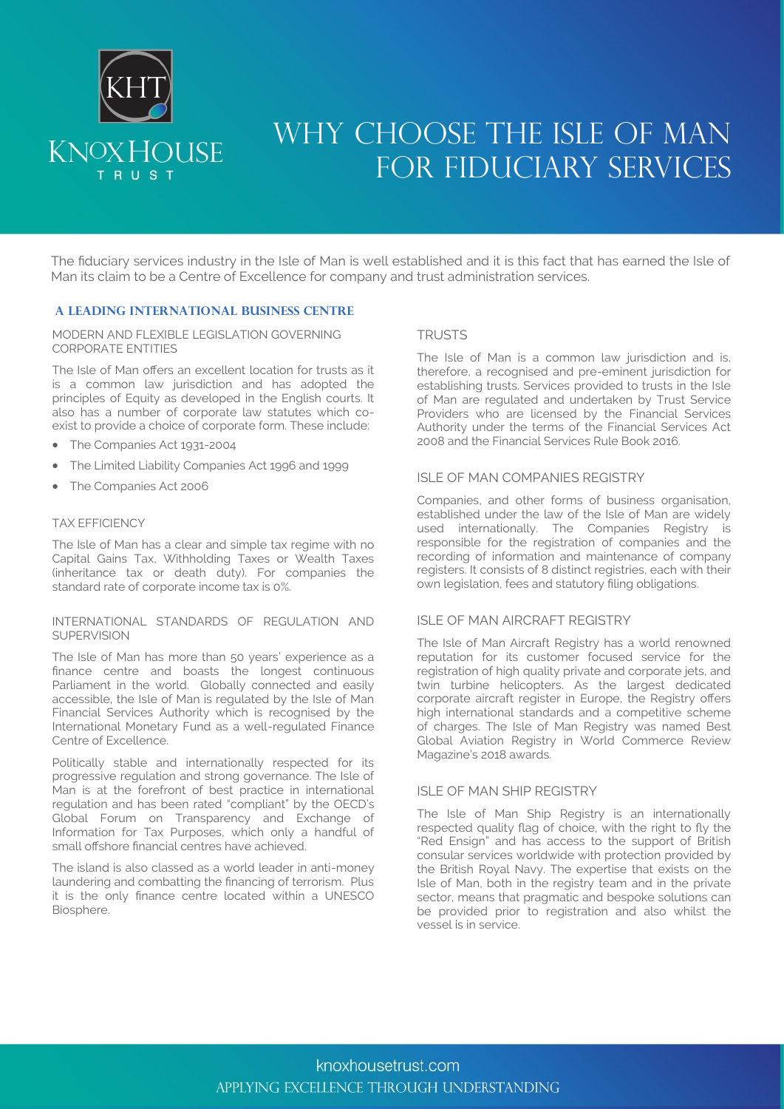

## WHY CHOOSE THE ISLE OF MAN FOR FIDUCIARY SERVICES

The fiduciary services industry in the Isle of Man is well established and it is this fact that has earned the Isle of Man its claim to be a Centre of Excellence for company and trust administration services.

#### **A LEADING INTERNATIONAL BUSINESS CENTRE**

MODERN AND FLEXIBLE LEGISLATION GOVERNING CORPORATE ENTITIES

The Isle of Man offers an excellent location for trusts as it is a common law jurisdiction and has adopted the principles of Equity as developed in the English courts. It also has a number of corporate law statutes which coexist to provide a choice of corporate form. These include:

- The Companies Act 1931-2004
- The Limited Liability Companies Act 1996 and 1999
- The Companies Act 2006

#### TAX EFFICIENCY

The Isle of Man has a clear and simple tax regime with no Capital Gains Tax, Withholding Taxes or Wealth Taxes (inheritance tax or death duty). For companies the standard rate of corporate income tax is 0%.

#### INTERNATIONAL STANDARDS OF REGULATION AND **SUPERVISION**

The Isle of Man has more than 50 years' experience as a finance centre and boasts the longest continuous Parliament in the world. Globally connected and easily accessible, the Isle of Man is regulated by the Isle of Man Financial Services Authority which is recognised by the International Monetary Fund as a well-regulated Finance Centre of Excellence.

Politically stable and internationally respected for its progressive regulation and strong governance. The Isle of Man is at the forefront of best practice in international regulation and has been rated "compliant" by the OECD's Global Forum on Transparency and Exchange of Information for Tax Purposes, which only a handful of small offshore financial centres have achieved.

The island is also classed as a world leader in anti-money laundering and combatting the financing of terrorism. Plus it is the only finance centre located within a UNESCO Biosphere.

#### **TRUSTS**

The Isle of Man is a common law jurisdiction and is, therefore, a recognised and pre-eminent jurisdiction for establishing trusts. Services provided to trusts in the Isle of Man are regulated and undertaken by Trust Service Providers who are licensed by the Financial Services Authority under the terms of the Financial Services Act 2008 and the Financial Services Rule Book 2016.

#### ISLE OF MAN COMPANIES REGISTRY

Companies, and other forms of business organisation, established under the law of the Isle of Man are widely used internationally. The Companies Registry is responsible for the registration of companies and the recording of information and maintenance of company registers. It consists of 8 distinct registries, each with their own legislation, fees and statutory filing obligations.

#### ISLE OF MAN AIRCRAFT REGISTRY

The Isle of Man Aircraft Registry has a world renowned reputation for its customer focused service for the registration of high quality private and corporate jets, and twin turbine helicopters. As the largest dedicated corporate aircraft register in Europe, the Registry offers high international standards and a competitive scheme of charges. The Isle of Man Registry was named Best Global Aviation Registry in World Commerce Review Magazine's 2018 awards.

#### ISLE OF MAN SHIP REGISTRY

The Isle of Man Ship Registry is an internationally respected quality flag of choice, with the right to fly the "Red Ensign" and has access to the support of British consular services worldwide with protection provided by the British Royal Navy. The expertise that exists on the Isle of Man, both in the registry team and in the private sector, means that pragmatic and bespoke solutions can be provided prior to registration and also whilst the vessel is in service.